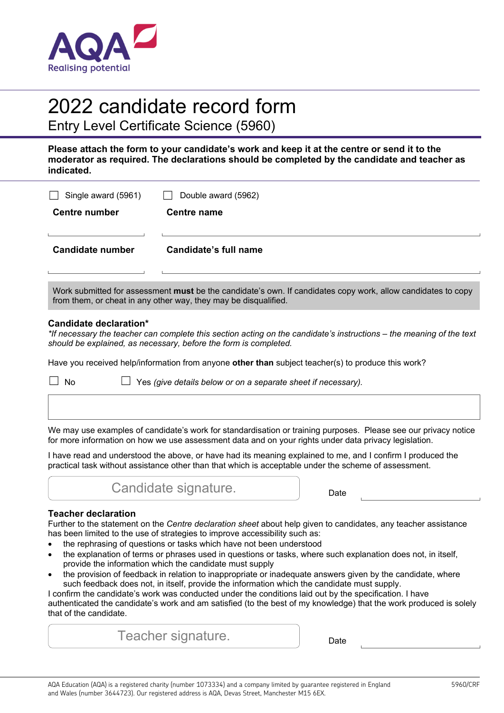

# 2022 candidate record form

Entry Level Certificate Science (5960)

**Please attach the form to your candidate's work and keep it at the centre or send it to the moderator as required. The declarations should be completed by the candidate and teacher as indicated.** 

| Single award (5961) | Double award (5962)                                                                                                                                                             |
|---------------------|---------------------------------------------------------------------------------------------------------------------------------------------------------------------------------|
| Centre number       | Centre name                                                                                                                                                                     |
|                     |                                                                                                                                                                                 |
| Candidate number    | Candidate's full name                                                                                                                                                           |
|                     |                                                                                                                                                                                 |
|                     | Work submitted for assessment must be the candidate's own. If candidates copy work, allow candidates to copy<br>from them, or cheat in any other way, they may be disqualified. |

### **Candidate declaration\***

*\*If necessary the teacher can complete this section acting on the candidate's instructions – the meaning of the text should be explained, as necessary, before the form is completed.* 

Have you received help/information from anyone **other than** subject teacher(s) to produce this work?

☐ No ☐ Yes *(give details below or on a separate sheet if necessary).*

We may use examples of candidate's work for standardisation or training purposes. Please see our privacy notice for more information on how we use assessment data and on your rights under data privacy legislation.

I have read and understood the above, or have had its meaning explained to me, and I confirm I produced the practical task without assistance other than that which is acceptable under the scheme of assessment.



## **Teacher declaration**

Further to the statement on the *Centre declaration sheet* about help given to candidates, any teacher assistance has been limited to the use of strategies to improve accessibility such as:

- the rephrasing of questions or tasks which have not been understood
- the explanation of terms or phrases used in questions or tasks, where such explanation does not, in itself, provide the information which the candidate must supply
- the provision of feedback in relation to inappropriate or inadequate answers given by the candidate, where such feedback does not, in itself, provide the information which the candidate must supply.

I confirm the candidate's work was conducted under the conditions laid out by the specification. I have authenticated the candidate's work and am satisfied (to the best of my knowledge) that the work produced is solely that of the candidate.

Teacher signature. The pate